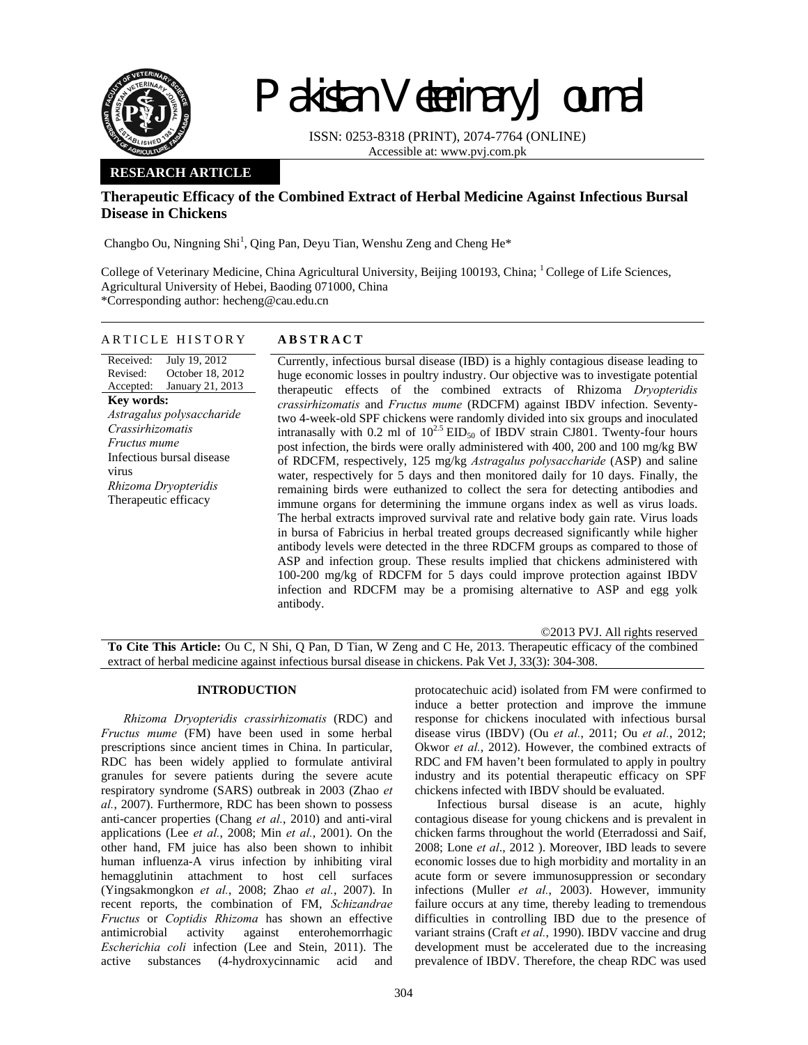

# Pakistan Veterinary Journal

ISSN: 0253-8318 (PRINT), 2074-7764 (ONLINE) Accessible at: www.pvj.com.pk

# **RESEARCH ARTICLE**

# **Therapeutic Efficacy of the Combined Extract of Herbal Medicine Against Infectious Bursal Disease in Chickens**

Changbo Ou, Ningning Shi<sup>1</sup>, Qing Pan, Deyu Tian, Wenshu Zeng and Cheng He<sup>\*</sup>

College of Veterinary Medicine, China Agricultural University, Beijing 100193, China; <sup>1</sup> College of Life Sciences, Agricultural University of Hebei, Baoding 071000, China \*Corresponding author: hecheng@cau.edu.cn

## ARTICLE HISTORY **ABSTRACT**

#### Received: Revised: Accepted: July 19, 2012 October 18, 2012 January 21, 2013 **Key words:**  *Astragalus polysaccharide Crassirhizomatis Fructus mume*  Infectious bursal disease virus *Rhizoma Dryopteridis*  Therapeutic efficacy

Currently, infectious bursal disease (IBD) is a highly contagious disease leading to huge economic losses in poultry industry. Our objective was to investigate potential therapeutic effects of the combined extracts of Rhizoma *Dryopteridis crassirhizomatis* and *Fructus mume* (RDCFM) against IBDV infection. Seventytwo 4-week-old SPF chickens were randomly divided into six groups and inoculated intranasally with 0.2 ml of  $10^{2.5}$  EID<sub>50</sub> of IBDV strain CJ801. Twenty-four hours post infection, the birds were orally administered with 400, 200 and 100 mg/kg BW of RDCFM, respectively, 125 mg/kg *Astragalus polysaccharide* (ASP) and saline water, respectively for 5 days and then monitored daily for 10 days. Finally, the remaining birds were euthanized to collect the sera for detecting antibodies and immune organs for determining the immune organs index as well as virus loads. The herbal extracts improved survival rate and relative body gain rate. Virus loads in bursa of Fabricius in herbal treated groups decreased significantly while higher antibody levels were detected in the three RDCFM groups as compared to those of ASP and infection group. These results implied that chickens administered with 100-200 mg/kg of RDCFM for 5 days could improve protection against IBDV infection and RDCFM may be a promising alternative to ASP and egg yolk antibody.

©2013 PVJ. All rights reserved **To Cite This Article:** Ou C, N Shi, Q Pan, D Tian, W Zeng and C He, 2013. Therapeutic efficacy of the combined extract of herbal medicine against infectious bursal disease in chickens. Pak Vet J, 33(3): 304-308.

## **INTRODUCTION**

*Rhizoma Dryopteridis crassirhizomatis* (RDC) and *Fructus mume* (FM) have been used in some herbal prescriptions since ancient times in China. In particular, RDC has been widely applied to formulate antiviral granules for severe patients during the severe acute respiratory syndrome (SARS) outbreak in 2003 (Zhao *et al.*, 2007). Furthermore, RDC has been shown to possess anti-cancer properties (Chang *et al.*, 2010) and anti-viral applications (Lee *et al.*, 2008; Min *et al.*, 2001). On the other hand, FM juice has also been shown to inhibit human influenza-A virus infection by inhibiting viral hemagglutinin attachment to host cell surfaces (Yingsakmongkon *et al.*, 2008; Zhao *et al.*, 2007). In recent reports, the combination of FM, *Schizandrae Fructus* or *Coptidis Rhizoma* has shown an effective antimicrobial activity against enterohemorrhagic *Escherichia coli* infection (Lee and Stein, 2011). The active substances (4-hydroxycinnamic acid and

protocatechuic acid) isolated from FM were confirmed to induce a better protection and improve the immune response for chickens inoculated with infectious bursal disease virus (IBDV) (Ou *et al.*, 2011; Ou *et al.*, 2012; Okwor *et al.*, 2012). However, the combined extracts of RDC and FM haven't been formulated to apply in poultry industry and its potential therapeutic efficacy on SPF chickens infected with IBDV should be evaluated.

Infectious bursal disease is an acute, highly contagious disease for young chickens and is prevalent in chicken farms throughout the world (Eterradossi and Saif, 2008; Lone *et al*., 2012 ). Moreover, IBD leads to severe economic losses due to high morbidity and mortality in an acute form or severe immunosuppression or secondary infections (Muller *et al.*, 2003). However, immunity failure occurs at any time, thereby leading to tremendous difficulties in controlling IBD due to the presence of variant strains (Craft *et al.*, 1990). IBDV vaccine and drug development must be accelerated due to the increasing prevalence of IBDV. Therefore, the cheap RDC was used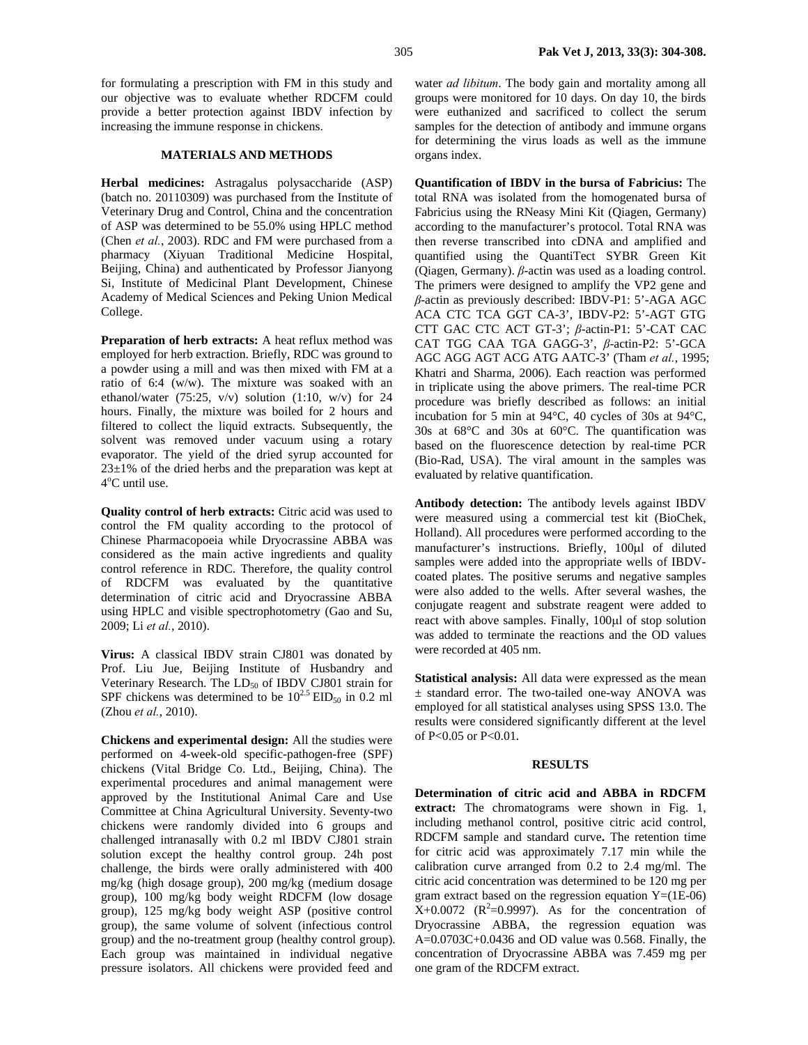for formulating a prescription with FM in this study and our objective was to evaluate whether RDCFM could provide a better protection against IBDV infection by increasing the immune response in chickens.

## **MATERIALS AND METHODS**

**Herbal medicines:** Astragalus polysaccharide (ASP) (batch no. 20110309) was purchased from the Institute of Veterinary Drug and Control, China and the concentration of ASP was determined to be 55.0% using HPLC method (Chen *et al.*, 2003). RDC and FM were purchased from a pharmacy (Xiyuan Traditional Medicine Hospital, Beijing, China) and authenticated by Professor Jianyong Si, Institute of Medicinal Plant Development, Chinese Academy of Medical Sciences and Peking Union Medical College.

**Preparation of herb extracts:** A heat reflux method was employed for herb extraction. Briefly, RDC was ground to a powder using a mill and was then mixed with FM at a ratio of 6:4 (w/w). The mixture was soaked with an ethanol/water  $(75:25, v/v)$  solution  $(1:10, w/v)$  for 24 hours. Finally, the mixture was boiled for 2 hours and filtered to collect the liquid extracts. Subsequently, the solvent was removed under vacuum using a rotary evaporator. The yield of the dried syrup accounted for  $23\pm1\%$  of the dried herbs and the preparation was kept at 4<sup>o</sup>C until use.

**Quality control of herb extracts:** Citric acid was used to control the FM quality according to the protocol of Chinese Pharmacopoeia while Dryocrassine ABBA was considered as the main active ingredients and quality control reference in RDC. Therefore, the quality control of RDCFM was evaluated by the quantitative determination of citric acid and Dryocrassine ABBA using HPLC and visible spectrophotometry (Gao and Su, 2009; Li *et al.*, 2010).

**Virus:** A classical IBDV strain CJ801 was donated by Prof. Liu Jue, Beijing Institute of Husbandry and Veterinary Research. The  $LD_{50}$  of IBDV CJ801 strain for SPF chickens was determined to be  $10^{2.5}$  EID<sub>50</sub> in 0.2 ml (Zhou *et al.*, 2010).

**Chickens and experimental design:** All the studies were performed on 4-week-old specific-pathogen-free (SPF) chickens (Vital Bridge Co. Ltd., Beijing, China). The experimental procedures and animal management were approved by the Institutional Animal Care and Use Committee at China Agricultural University. Seventy-two chickens were randomly divided into 6 groups and challenged intranasally with 0.2 ml IBDV CJ801 strain solution except the healthy control group. 24h post challenge, the birds were orally administered with 400 mg/kg (high dosage group), 200 mg/kg (medium dosage group), 100 mg/kg body weight RDCFM (low dosage group), 125 mg/kg body weight ASP (positive control group), the same volume of solvent (infectious control group) and the no-treatment group (healthy control group). Each group was maintained in individual negative pressure isolators. All chickens were provided feed and

water *ad libitum*. The body gain and mortality among all groups were monitored for 10 days. On day 10, the birds were euthanized and sacrificed to collect the serum samples for the detection of antibody and immune organs for determining the virus loads as well as the immune organs index.

**Quantification of IBDV in the bursa of Fabricius:** The total RNA was isolated from the homogenated bursa of Fabricius using the RNeasy Mini Kit (Qiagen, Germany) according to the manufacturer's protocol. Total RNA was then reverse transcribed into cDNA and amplified and quantified using the QuantiTect SYBR Green Kit (Qiagen, Germany). *β*-actin was used as a loading control. The primers were designed to amplify the VP2 gene and *β*-actin as previously described: IBDV-P1: 5'-AGA AGC ACA CTC TCA GGT CA-3', IBDV-P2: 5'-AGT GTG CTT GAC CTC ACT GT-3'; *β*-actin-P1: 5'-CAT CAC CAT TGG CAA TGA GAGG-3', *β*-actin-P2: 5'-GCA AGC AGG AGT ACG ATG AATC-3' (Tham *et al.*, 1995; Khatri and Sharma, 2006). Each reaction was performed in triplicate using the above primers. The real-time PCR procedure was briefly described as follows: an initial incubation for 5 min at 94°C, 40 cycles of 30s at 94°C, 30s at 68°C and 30s at 60°C. The quantification was based on the fluorescence detection by real-time PCR (Bio-Rad, USA). The viral amount in the samples was evaluated by relative quantification.

**Antibody detection:** The antibody levels against IBDV were measured using a commercial test kit (BioChek, Holland). All procedures were performed according to the manufacturer's instructions. Briefly, 100µl of diluted samples were added into the appropriate wells of IBDVcoated plates. The positive serums and negative samples were also added to the wells. After several washes, the conjugate reagent and substrate reagent were added to react with above samples. Finally, 100µl of stop solution was added to terminate the reactions and the OD values were recorded at 405 nm.

**Statistical analysis:** All data were expressed as the mean ± standard error. The two-tailed one-way ANOVA was employed for all statistical analyses using SPSS 13.0. The results were considered significantly different at the level of P<0.05 or P<0.01.

## **RESULTS**

**Determination of citric acid and ABBA in RDCFM extract:** The chromatograms were shown in Fig. 1, including methanol control, positive citric acid control, RDCFM sample and standard curve**.** The retention time for citric acid was approximately 7.17 min while the calibration curve arranged from 0.2 to 2.4 mg/ml. The citric acid concentration was determined to be 120 mg per gram extract based on the regression equation  $Y=(1E-06)$  $X+0.0072$  ( $R^2=0.9997$ ). As for the concentration of Dryocrassine ABBA, the regression equation was  $A=0.0703C+0.0436$  and OD value was 0.568. Finally, the concentration of Dryocrassine ABBA was 7.459 mg per one gram of the RDCFM extract.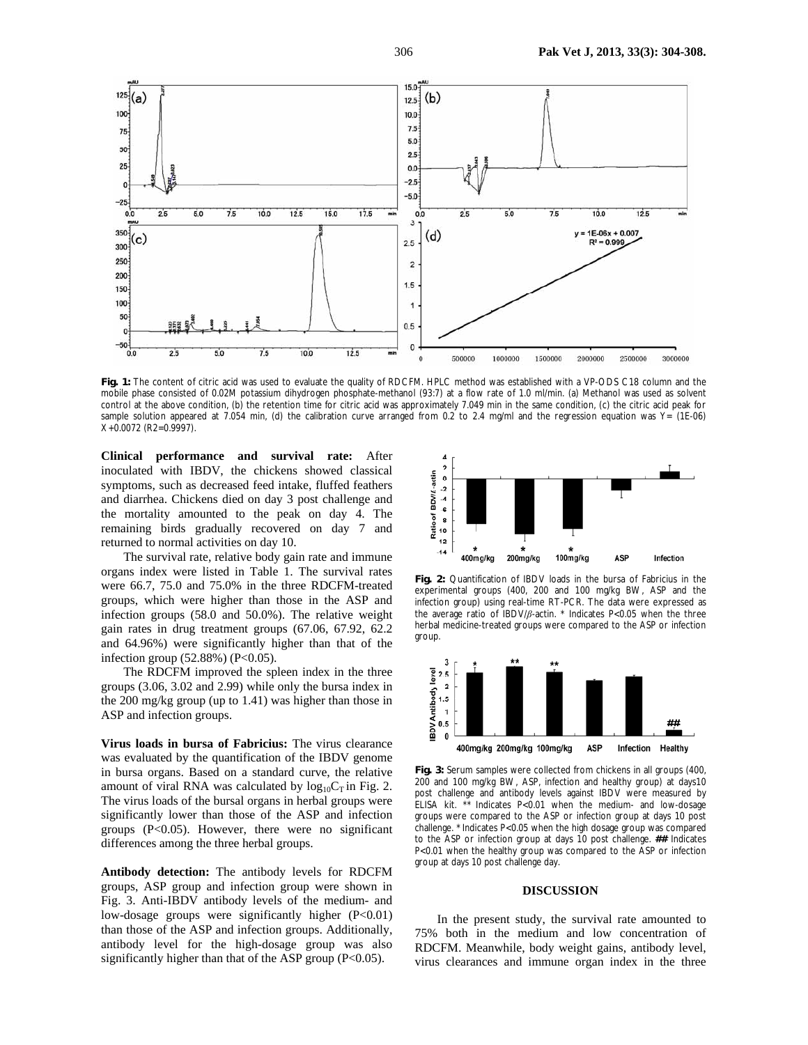

**Fig. 1:** The content of citric acid was used to evaluate the quality of RDCFM. HPLC method was established with a VP-ODS C18 column and the mobile phase consisted of 0.02M potassium dihydrogen phosphate-methanol (93:7) at a flow rate of 1.0 ml/min. (a) Methanol was used as solvent control at the above condition, (b) the retention time for citric acid was approximately 7.049 min in the same condition, (c) the citric acid peak for sample solution appeared at 7.054 min, (d) the calibration curve arranged from 0.2 to 2.4 mg/ml and the regression equation was Y= (1E-06) X+0.0072 (R2=0.9997).

**Clinical performance and survival rate:** After inoculated with IBDV, the chickens showed classical symptoms, such as decreased feed intake, fluffed feathers and diarrhea. Chickens died on day 3 post challenge and the mortality amounted to the peak on day 4. The remaining birds gradually recovered on day 7 and returned to normal activities on day 10.

The survival rate, relative body gain rate and immune organs index were listed in Table 1. The survival rates were 66.7, 75.0 and 75.0% in the three RDCFM-treated groups, which were higher than those in the ASP and infection groups (58.0 and 50.0%). The relative weight gain rates in drug treatment groups (67.06, 67.92, 62.2 and 64.96%) were significantly higher than that of the infection group  $(52.88%) (P<0.05)$ .

The RDCFM improved the spleen index in the three groups (3.06, 3.02 and 2.99) while only the bursa index in the 200 mg/kg group (up to 1.41) was higher than those in ASP and infection groups.

**Virus loads in bursa of Fabricius:** The virus clearance was evaluated by the quantification of the IBDV genome in bursa organs. Based on a standard curve, the relative amount of viral RNA was calculated by  $log_{10}C_T$  in Fig. 2. The virus loads of the bursal organs in herbal groups were significantly lower than those of the ASP and infection groups (P<0.05). However, there were no significant differences among the three herbal groups.

**Antibody detection:** The antibody levels for RDCFM groups, ASP group and infection group were shown in Fig. 3. Anti-IBDV antibody levels of the medium- and low-dosage groups were significantly higher (P<0.01) than those of the ASP and infection groups. Additionally, antibody level for the high-dosage group was also significantly higher than that of the ASP group (P<0.05).



**Fig. 2:** Quantification of IBDV loads in the bursa of Fabricius in the experimental groups (400, 200 and 100 mg/kg BW, ASP and the infection group) using real-time RT-PCR. The data were expressed as the average ratio of IBDV/*β*-actin. \* Indicates P<0.05 when the three herbal medicine-treated groups were compared to the ASP or infection group.



**Fig. 3:** Serum samples were collected from chickens in all groups (400, 200 and 100 mg/kg BW, ASP, infection and healthy group) at days10 post challenge and antibody levels against IBDV were measured by ELISA kit. \*\* Indicates P<0.01 when the medium- and low-dosage groups were compared to the ASP or infection group at days 10 post challenge. \* Indicates P<0.05 when the high dosage group was compared to the ASP or infection group at days 10 post challenge. **##** Indicates P<0.01 when the healthy group was compared to the ASP or infection group at days 10 post challenge day.

### **DISCUSSION**

In the present study, the survival rate amounted to 75% both in the medium and low concentration of RDCFM. Meanwhile, body weight gains, antibody level, virus clearances and immune organ index in the three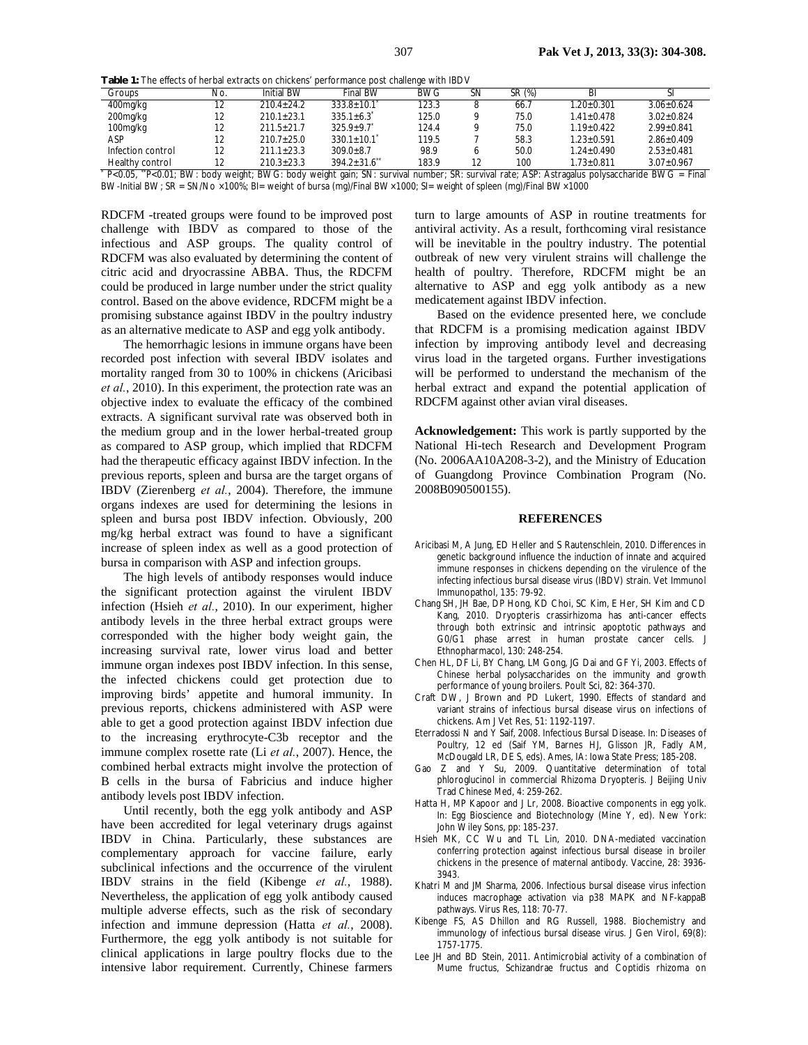**Table 1:** The effects of herbal extracts on chickens' performance post challenge with IBDV

| <b>I WINTO THE UTILITY OF THE BULL ON LIBRAL OF DISTURSIVE IN A STATE IN A STATE IN A STATE IN A STATE IN A STATE</b> |     |                   |                                                                                                                                             |            |    |        |                |                  |
|-----------------------------------------------------------------------------------------------------------------------|-----|-------------------|---------------------------------------------------------------------------------------------------------------------------------------------|------------|----|--------|----------------|------------------|
| Groups                                                                                                                | No. | <b>Initial BW</b> | Final BW                                                                                                                                    | <b>BWG</b> | SΝ | SR (%) | BI             |                  |
| 400mg/kg                                                                                                              | 12  | $210.4 + 24.2$    | $333.8 \pm 10.1$                                                                                                                            | 123.3      |    | 66.7   | $1.20 + 0.301$ | $3.06 + 0.624$   |
| 200mg/kg                                                                                                              | 12  | $210.1 + 23.1$    | $335.1 + 6.3$                                                                                                                               | 125.0      |    | 75.0   | $1.41 + 0.478$ | $3.02 + 0.824$   |
| 100mg/kg                                                                                                              | 12  | $211.5 + 21.7$    | $325.9 + 9.7$                                                                                                                               | 124.4      |    | 75.0   | $1.19 + 0.422$ | $2.99 + 0.841$   |
| ASP                                                                                                                   | 12  | $210.7 + 25.0$    | $330.1 \pm 10.1$                                                                                                                            | 119.5      |    | 58.3   | $1.23 + 0.591$ | $2.86 + 0.409$   |
| Infection control                                                                                                     | 12  | $211.1 \pm 23.3$  | $309.0 + 8.7$                                                                                                                               | 98.9       |    | 50.0   | $1.24 + 0.490$ | $2.53 \pm 0.481$ |
| Healthy control                                                                                                       |     | $210.3 \pm 23.3$  | $394.2 + 31.6$                                                                                                                              | 183.9      | 12 | 100    | $1.73 + 0.811$ | $3.07 + 0.967$   |
|                                                                                                                       |     |                   | P<0.05, "P<0.01; BW: body weight; BWG: body weight gain; SN: survival number; SR: survival rate; ASP: Astragalus polysaccharide BWG = Final |            |    |        |                |                  |

BW-Initial BW; SR = SN/No ×100%; BI= weight of bursa (mg)/Final BW×1000; SI= weight of spleen (mg)/Final BW×1000

RDCFM -treated groups were found to be improved post challenge with IBDV as compared to those of the infectious and ASP groups. The quality control of RDCFM was also evaluated by determining the content of citric acid and dryocrassine ABBA. Thus, the RDCFM could be produced in large number under the strict quality control. Based on the above evidence, RDCFM might be a promising substance against IBDV in the poultry industry as an alternative medicate to ASP and egg yolk antibody.

The hemorrhagic lesions in immune organs have been recorded post infection with several IBDV isolates and mortality ranged from 30 to 100% in chickens (Aricibasi *et al.*, 2010). In this experiment, the protection rate was an objective index to evaluate the efficacy of the combined extracts. A significant survival rate was observed both in the medium group and in the lower herbal-treated group as compared to ASP group, which implied that RDCFM had the therapeutic efficacy against IBDV infection. In the previous reports, spleen and bursa are the target organs of IBDV (Zierenberg *et al.*, 2004). Therefore, the immune organs indexes are used for determining the lesions in spleen and bursa post IBDV infection. Obviously, 200 mg/kg herbal extract was found to have a significant increase of spleen index as well as a good protection of bursa in comparison with ASP and infection groups.

The high levels of antibody responses would induce the significant protection against the virulent IBDV infection (Hsieh *et al.*, 2010). In our experiment, higher antibody levels in the three herbal extract groups were corresponded with the higher body weight gain, the increasing survival rate, lower virus load and better immune organ indexes post IBDV infection. In this sense, the infected chickens could get protection due to improving birds' appetite and humoral immunity. In previous reports, chickens administered with ASP were able to get a good protection against IBDV infection due to the increasing erythrocyte-C3b receptor and the immune complex rosette rate (Li *et al.*, 2007). Hence, the combined herbal extracts might involve the protection of B cells in the bursa of Fabricius and induce higher antibody levels post IBDV infection.

Until recently, both the egg yolk antibody and ASP have been accredited for legal veterinary drugs against IBDV in China. Particularly, these substances are complementary approach for vaccine failure, early subclinical infections and the occurrence of the virulent IBDV strains in the field (Kibenge *et al.*, 1988). Nevertheless, the application of egg yolk antibody caused multiple adverse effects, such as the risk of secondary infection and immune depression (Hatta *et al.*, 2008). Furthermore, the egg yolk antibody is not suitable for clinical applications in large poultry flocks due to the intensive labor requirement. Currently, Chinese farmers

turn to large amounts of ASP in routine treatments for antiviral activity. As a result, forthcoming viral resistance will be inevitable in the poultry industry. The potential outbreak of new very virulent strains will challenge the health of poultry. Therefore, RDCFM might be an alternative to ASP and egg yolk antibody as a new medicatement against IBDV infection.

Based on the evidence presented here, we conclude that RDCFM is a promising medication against IBDV infection by improving antibody level and decreasing virus load in the targeted organs. Further investigations will be performed to understand the mechanism of the herbal extract and expand the potential application of RDCFM against other avian viral diseases.

**Acknowledgement:** This work is partly supported by the National Hi-tech Research and Development Program (No. 2006AA10A208-3-2), and the Ministry of Education of Guangdong Province Combination Program (No. 2008B090500155).

#### **REFERENCES**

- Aricibasi M, A Jung, ED Heller and S Rautenschlein, 2010. Differences in genetic background influence the induction of innate and acquired immune responses in chickens depending on the virulence of the infecting infectious bursal disease virus (IBDV) strain. Vet Immunol Immunopathol, 135: 79-92.
- Chang SH, JH Bae, DP Hong, KD Choi, SC Kim, E Her, SH Kim and CD Kang, 2010. Dryopteris crassirhizoma has anti-cancer effects through both extrinsic and intrinsic apoptotic pathways and G0/G1 phase arrest in human prostate cancer cells. J Ethnopharmacol, 130: 248-254.
- Chen HL, DF Li, BY Chang, LM Gong, JG Dai and GF Yi, 2003. Effects of Chinese herbal polysaccharides on the immunity and growth performance of young broilers. Poult Sci, 82: 364-370.
- Craft DW, J Brown and PD Lukert, 1990. Effects of standard and variant strains of infectious bursal disease virus on infections of chickens. Am J Vet Res, 51: 1192-1197.
- Eterradossi N and Y Saif, 2008. Infectious Bursal Disease. In: Diseases of Poultry, 12 ed (Saif YM, Barnes HJ, Glisson JR, Fadly AM, McDougald LR, DE S, eds). Ames, IA: Iowa State Press; 185-208.
- Gao Z and Y Su, 2009. Quantitative determination of total phloroglucinol in commercial Rhizoma Dryopteris. J Beijing Univ Trad Chinese Med, 4: 259-262.
- Hatta H, MP Kapoor and J Lr, 2008. Bioactive components in egg yolk. In: Egg Bioscience and Biotechnology (Mine Y, ed). New York: John Wiley Sons, pp: 185-237.
- Hsieh MK, CC Wu and TL Lin, 2010. DNA-mediated vaccination conferring protection against infectious bursal disease in broiler chickens in the presence of maternal antibody. Vaccine, 28: 3936- 3943.
- Khatri M and JM Sharma, 2006. Infectious bursal disease virus infection induces macrophage activation via p38 MAPK and NF-kappaB pathways. Virus Res, 118: 70-77.
- Kibenge FS, AS Dhillon and RG Russell, 1988. Biochemistry and immunology of infectious bursal disease virus. J Gen Virol, 69(8): 1757-1775.
- Lee JH and BD Stein, 2011. Antimicrobial activity of a combination of Mume fructus, Schizandrae fructus and Coptidis rhizoma on